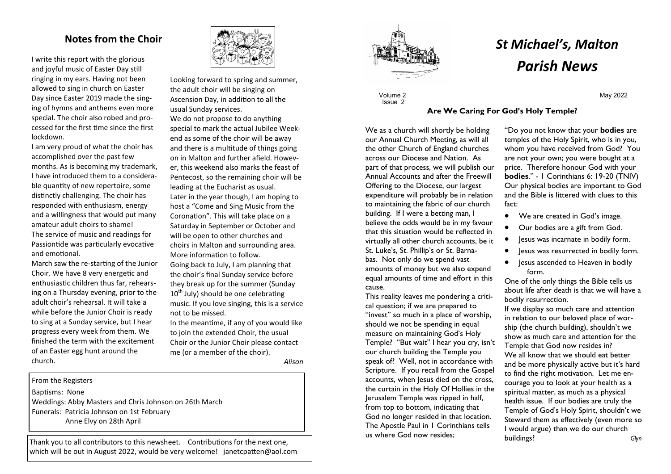# **Notes from the Choir**

I write this report with the glorious and joyful music of Easter Day still ringing in my ears. Having not been allowed to sing in church on Easter Day since Easter 2019 made the singing of hymns and anthems even more special. The choir also robed and processed for the first time since the first lockdown.

I am very proud of what the choir has accomplished over the past few months. As is becoming my trademark, I have introduced them to a considerable quantity of new repertoire, some distinctly challenging. The choir has responded with enthusiasm, energy and a willingness that would put many amateur adult choirs to shame! The service of music and readings for Passiontide was particularly evocative and emotional.

March saw the re-starting of the Junior Choir. We have 8 very energetic and enthusiastic children thus far, rehearsing on a Thursday evening, prior to the adult choir's rehearsal. It will take a while before the Junior Choir is ready to sing at a Sunday service, but I hear progress every week from them. We finished the term with the excitement of an Easter egg hunt around the church.



Looking forward to spring and summer, the adult choir will be singing on Ascension Day, in addition to all the usual Sunday services. We do not propose to do anything special to mark the actual Jubilee Weekend as some of the choir will be away and there is a multitude of things going on in Malton and further afield. However, this weekend also marks the feast of Pentecost, so the remaining choir will be leading at the Eucharist as usual. Later in the year though, I am hoping to host a "Come and Sing Music from the Coronation". This will take place on a Saturday in September or October and will be open to other churches and choirs in Malton and surrounding area. More information to follow.

Going back to July, I am planning that the choir's final Sunday service before they break up for the summer (Sunday  $10<sup>th</sup>$  July) should be one celebrating music. If you love singing, this is a service not to be missed.

In the meantime, if any of you would like to join the extended Choir, the usual Choir or the Junior Choir please contact me (or a member of the choir).

*Alison*

#### From the Registers

Baptisms: None

Weddings: Abby Masters and Chris Johnson on 26th March Funerals: Patricia Johnson on 1st February Anne Elvy on 28th April

Thank you to all contributors to this newsheet. Contributions for the next one, which will be out in August 2022, would be very welcome! janetcpatten@aol.com



Volume 2 Issue 2

# *St Michael's, Malton Parish News*

# **Are We Caring For God's Holy Temple?**

We as a church will shortly be holding our Annual Church Meeting, as will all the other Church of England churches across our Diocese and Nation. As part of that process, we will publish our Annual Accounts and after the Freewill Offering to the Diocese, our largest expenditure will probably be in relation to maintaining the fabric of our church building. If I were a betting man, I believe the odds would be in my favour that this situation would be reflected in virtually all other church accounts, be it St. Luke's, St. Phillip's or St. Barnabas. Not only do we spend vast amounts of money but we also expend equal amounts of time and effort in this cause.

This reality leaves me pondering a critical question; if we are prepared to "invest" so much in a place of worship, should we not be spending in equal measure on maintaining God's Holy Temple? "But wait" I hear you cry, isn't our church building the Temple you speak of? Well, not in accordance with Scripture. If you recall from the Gospel accounts, when lesus died on the cross, the curtain in the Holy Of Hollies in the Jerusalem Temple was ripped in half, from top to bottom, indicating that God no longer resided in that location. The Apostle Paul in 1 Corinthians tells us where God now resides;

"Do you not know that your **bodies** are temples of the Holy Spirit, who is in you, whom you have received from God? You are not your own; you were bought at a price. Therefore honour God with your **bodies**." - 1 Corinthians 6: 19-20 (TNIV) Our physical bodies are important to God and the Bible is littered with clues to this fact:

May 2022

- We are created in God's image.
- Our bodies are a gift from God.
- lesus was incarnate in bodily form.
- Jesus was resurrected in bodily form.
- Jesus ascended to Heaven in bodily form.

One of the only things the Bible tells us about life after death is that we will have a bodily resurrection.

If we display so much care and attention in relation to our beloved place of worship (the church building), shouldn't we show as much care and attention for the Temple that God now resides in? We all know that we should eat better and be more physically active but it's hard to find the right motivation. Let me encourage you to look at your health as a spiritual matter, as much as a physical health issue. If our bodies are truly the Temple of God's Holy Spirit, shouldn't we Steward them as effectively (even more so I would argue) than we do our church buildings? *Glyn*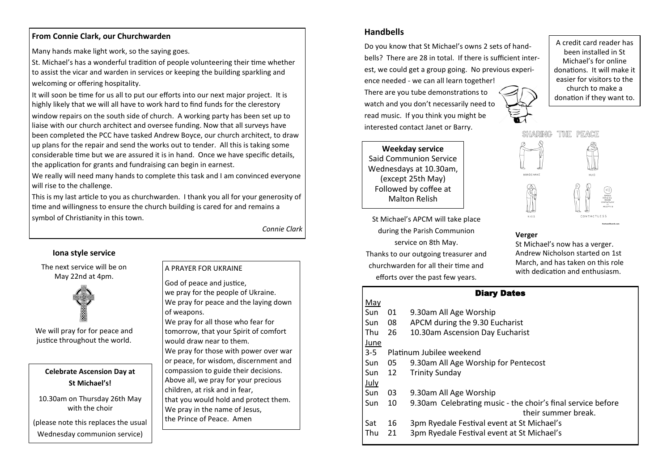## **From Connie Clark, our Churchwarden**

Many hands make light work, so the saying goes.

St. Michael's has a wonderful tradition of people volunteering their time whether to assist the vicar and warden in services or keeping the building sparkling and welcoming or offering hospitality.

It will soon be time for us all to put our efforts into our next major project. It is highly likely that we will all have to work hard to find funds for the clerestory window repairs on the south side of church. A working party has been set up to liaise with our church architect and oversee funding. Now that all surveys have been completed the PCC have tasked Andrew Boyce, our church architect, to draw up plans for the repair and send the works out to tender. All this is taking some considerable time but we are assured it is in hand. Once we have specific details, the application for grants and fundraising can begin in earnest.

We really will need many hands to complete this task and I am convinced everyone will rise to the challenge.

This is my last article to you as churchwarden. I thank you all for your generosity of time and willingness to ensure the church building is cared for and remains a symbol of Christianity in this town.

*Connie Clark*

# **Iona style service**

The next service will be on May 22nd at 4pm.



We will pray for for peace and justice throughout the world.

## **Celebrate Ascension Day at St Michael's!**

10.30am on Thursday 26th May with the choir

(please note this replaces the usual Wednesday communion service)

#### A PRAYER FOR UKRAINE

God of peace and justice, we pray for the people of Ukraine. We pray for peace and the laying down of weapons.

We pray for all those who fear for tomorrow, that your Spirit of comfort would draw near to them. We pray for those with power over war

or peace, for wisdom, discernment and compassion to guide their decisions. Above all, we pray for your precious children, at risk and in fear, that you would hold and protect them. We pray in the name of Jesus.

the Prince of Peace. Amen

# **Handbells**

Do you know that St Michael's owns 2 sets of handbells? There are 28 in total. If there is sufficient interest, we could get a group going. No previous experience needed - we can all learn together! There are you tube demonstrations to watch and you don't necessarily need to read music. If you think you might be interested contact Janet or Barry.

**Weekday service** Said Communion Service Wednesdays at 10.30am, (except 25th May) Followed by coffee at Malton Relish

St Michael's APCM will take place during the Parish Communion service on 8th May.

Thanks to our outgoing treasurer and churchwarden for all their time and

efforts over the past few years.

#### March, and has taken on this role with dedication and enthusiasm.

**Verger**

.<br>..........

 $k + 5.5$ 

St Michael's now has a verger. Andrew Nicholson started on 1st

HARING THE PEACE

| <b>Diary Dates</b> |                                                                                    |
|--------------------|------------------------------------------------------------------------------------|
|                    |                                                                                    |
| 01                 | 9.30am All Age Worship                                                             |
| 08                 | APCM during the 9.30 Eucharist                                                     |
| 26                 | 10.30am Ascension Day Eucharist                                                    |
|                    |                                                                                    |
|                    | Platinum Jubilee weekend                                                           |
| 05                 | 9.30am All Age Worship for Pentecost                                               |
| 12                 | <b>Trinity Sunday</b>                                                              |
|                    |                                                                                    |
| 03                 | 9.30am All Age Worship                                                             |
| 10                 | 9.30am Celebrating music - the choir's final service before<br>their summer break. |
| 16                 | 3pm Ryedale Festival event at St Michael's                                         |
| 21                 | 3pm Ryedale Festival event at St Michael's                                         |
|                    |                                                                                    |

A credit card reader has been installed in St Michael's for online donations. It will make it easier for visitors to the church to make a donation if they want to.

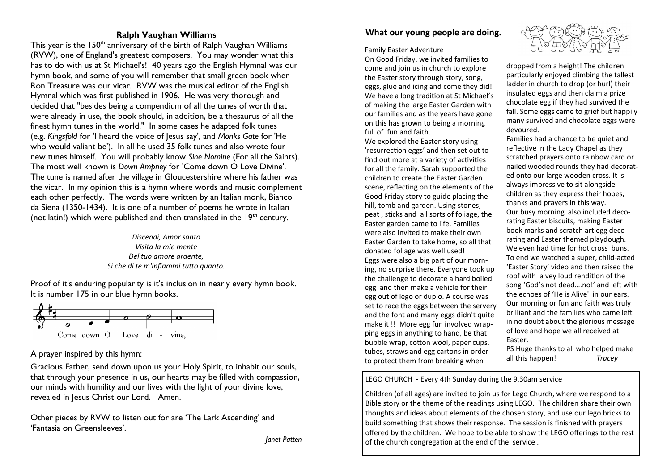### **Ralph Vaughan Williams**

This year is the 150<sup>th</sup> anniversary of the birth of Ralph Vaughan Williams (RVW), one of England's greatest composers. You may wonder what this has to do with us at St Michael's! 40 years ago the English Hymnal was our hymn book, and some of you will remember that small green book when Ron Treasure was our vicar. RVW was the musical editor of the English Hymnal which was first published in 1906. He was very thorough and decided that "besides being a compendium of all the tunes of worth that were already in use, the book should, in addition, be a thesaurus of all the finest hymn tunes in the world." In some cases he adapted folk tunes (e.g. *Kingsfold* for 'I heard the voice of Jesus say', and *Monks Gate* for 'He who would valiant be'). In all he used 35 folk tunes and also wrote four new tunes himself. You will probably know *Sine Nomine* (For all the Saints). The most well known is *Down Ampney* for 'Come down O Love Divine'. The tune is named after the village in Gloucestershire where his father was the vicar. In my opinion this is a hymn where words and music complement each other perfectly. The words were written by an Italian monk, Bianco da Siena (1350-1434). It is one of a number of poems he wrote in Italian (not latin!) which were published and then translated in the  $19<sup>th</sup>$  century.

> *Discendi, Amor santo Visita la mie mente Del tuo amore ardente, Si che di te m'infiammi tutto quanto.*

Proof of it's enduring popularity is it's inclusion in nearly every hymn book. It is number 175 in our blue hymn books.



# A prayer inspired by this hymn:

Gracious Father, send down upon us your Holy Spirit, to inhabit our souls, that through your presence in us, our hearts may be filled with compassion, our minds with humility and our lives with the light of your divine love, revealed in Jesus Christ our Lord. Amen.

Other pieces by RVW to listen out for are 'The Lark Ascending' and 'Fantasia on Greensleeves'.

# **What our young people are doing.**

#### Family Easter Adventure

On Good Friday, we invited families to come and join us in church to explore the Easter story through story, song, eggs, glue and icing and come they did! We have a long tradition at St Michael's of making the large Easter Garden with our families and as the years have gone on this has grown to being a morning full of fun and faith.

We explored the Easter story using 'resurrection eggs' and then set out to find out more at a variety of activities for all the family. Sarah supported the children to create the Easter Garden scene, reflecting on the elements of the Good Friday story to guide placing the hill, tomb and garden. Using stones, peat , sticks and all sorts of foliage, the Easter garden came to life. Families were also invited to make their own Easter Garden to take home, so all that donated foliage was well used! Eggs were also a big part of our morning, no surprise there. Everyone took up the challenge to decorate a hard boiled egg and then make a vehicle for their egg out of lego or duplo. A course was set to race the eggs between the servery and the font and many eggs didn't quite make it !! More egg fun involved wrapping eggs in anything to hand, be that bubble wrap, cotton wool, paper cups, tubes, straws and egg cartons in order to protect them from breaking when



dropped from a height! The children particularly enjoyed climbing the tallest ladder in church to drop (or hurl) their insulated eggs and then claim a prize chocolate egg if they had survived the fall. Some eggs came to grief but happily many survived and chocolate eggs were devoured.

Families had a chance to be quiet and reflective in the Lady Chapel as they scratched prayers onto rainbow card or nailed wooded rounds they had decorated onto our large wooden cross. It is always impressive to sit alongside children as they express their hopes, thanks and prayers in this way. Our busy morning also included decorating Easter biscuits, making Easter book marks and scratch art egg decorating and Easter themed playdough. We even had time for hot cross buns. To end we watched a super, child-acted 'Easter Story' video and then raised the roof with a vey loud rendition of the song 'God's not dead….no!' and left with the echoes of 'He is Alive' in our ears. Our morning or fun and faith was truly brilliant and the families who came left in no doubt about the glorious message of love and hope we all received at Easter.

PS Huge thanks to all who helped make all this happen! *Tracey*

LEGO CHURCH - Every 4th Sunday during the 9.30am service

Children (of all ages) are invited to join us for Lego Church, where we respond to a Bible story or the theme of the readings using LEGO. The children share their own thoughts and ideas about elements of the chosen story, and use our lego bricks to build something that shows their response. The session is finished with prayers offered by the children. We hope to be able to show the LEGO offerings to the rest of the church congregation at the end of the service .